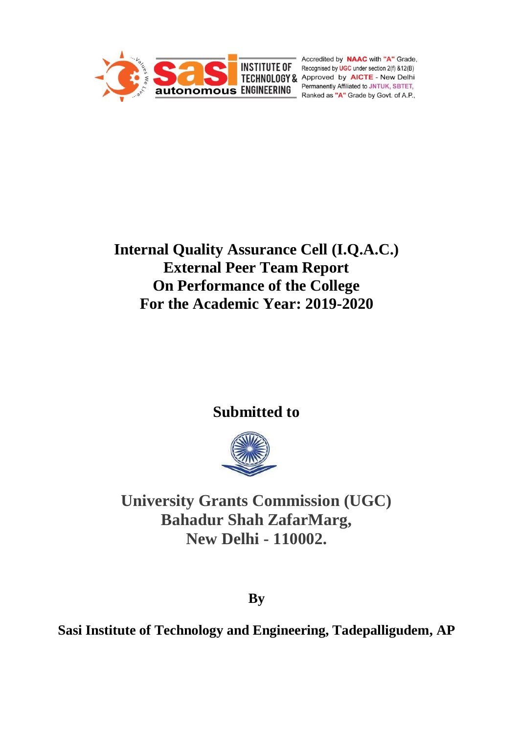

Accredited by **NAAC** with "A" Grade, **INSTITUTE OF** Recognised by **UGC** under section 2(f) &12(B) **INSITIUTE UP Recognised by UGC under section 2(f) &12(B)**<br> **TECHNOLOGY & Approved by AICTE - New Delhi**<br> **Recognized by AICTE - New Delhi** Permanently Affiliated to JNTUK, SBTET, Ranked as "A" Grade by Govt. of A.P.,

# **Internal Quality Assurance Cell (I.Q.A.C.) External Peer Team Report On Performance of the College For the Academic Year: 2019-2020**

# **Submitted to**



**University Grants Commission (UGC) Bahadur Shah ZafarMarg, New Delhi - 110002.**

**By**

**Sasi Institute of Technology and Engineering, Tadepalligudem, AP**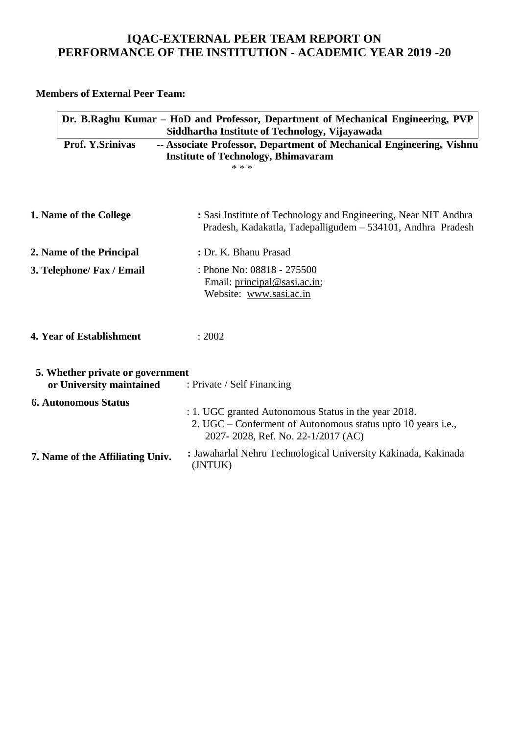# **IQAC-EXTERNAL PEER TEAM REPORT ON PERFORMANCE OF THE INSTITUTION - ACADEMIC YEAR 2019 -20**

**Members of External Peer Team:**

|                                                              | Dr. B.Raghu Kumar – HoD and Professor, Department of Mechanical Engineering, PVP<br>Siddhartha Institute of Technology, Vijayawada                         |
|--------------------------------------------------------------|------------------------------------------------------------------------------------------------------------------------------------------------------------|
| <b>Prof. Y.Srinivas</b>                                      | -- Associate Professor, Department of Mechanical Engineering, Vishnu<br><b>Institute of Technology, Bhimavaram</b><br>* * *                                |
| 1. Name of the College                                       | : Sasi Institute of Technology and Engineering, Near NIT Andhra<br>Pradesh, Kadakatla, Tadepalligudem - 534101, Andhra Pradesh                             |
| 2. Name of the Principal                                     | : Dr. K. Bhanu Prasad                                                                                                                                      |
| 3. Telephone/ Fax / Email                                    | : Phone No: 08818 - 275500<br>Email: principal@sasi.ac.in;<br>Website: www.sasi.ac.in                                                                      |
| 4. Year of Establishment                                     | : 2002                                                                                                                                                     |
| 5. Whether private or government<br>or University maintained | : Private / Self Financing                                                                                                                                 |
| <b>6. Autonomous Status</b>                                  | : 1. UGC granted Autonomous Status in the year 2018.<br>2. UGC – Conferment of Autonomous status upto 10 years i.e.,<br>2027-2028, Ref. No. 22-1/2017 (AC) |
| 7. Name of the Affiliating Univ.                             | : Jawaharlal Nehru Technological University Kakinada, Kakinada<br>(JNTUK)                                                                                  |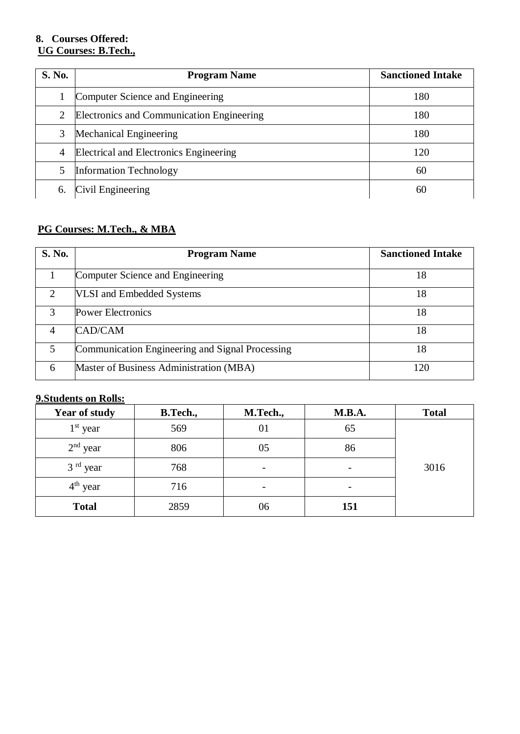# **8. Courses Offered: UG Courses: B.Tech.,**

| <b>S. No.</b> | <b>Program Name</b>                       | <b>Sanctioned Intake</b> |
|---------------|-------------------------------------------|--------------------------|
|               | Computer Science and Engineering          | 180                      |
| 2             | Electronics and Communication Engineering | 180                      |
| 3             | Mechanical Engineering                    | 180                      |
| 4             | Electrical and Electronics Engineering    | 120                      |
| 5             | <b>Information Technology</b>             | 60                       |
| 6.            | Civil Engineering                         | 60                       |

# **PG Courses: M.Tech., & MBA**

| <b>S. No.</b>               | <b>Program Name</b>                             | <b>Sanctioned Intake</b> |
|-----------------------------|-------------------------------------------------|--------------------------|
|                             | Computer Science and Engineering                | 18                       |
| $\mathcal{D}_{\mathcal{L}}$ | <b>VLSI</b> and Embedded Systems                | 18                       |
| $\mathcal{R}$               | <b>Power Electronics</b>                        | 18                       |
| 4                           | CAD/CAM                                         | 18                       |
| $\overline{\mathcal{L}}$    | Communication Engineering and Signal Processing | 18                       |
| 6                           | Master of Business Administration (MBA)         | 120                      |

# **9.Students on Rolls:**

| <b>Year of study</b> | <b>B.Tech.,</b> | M.Tech., | <b>M.B.A.</b>            | <b>Total</b> |
|----------------------|-----------------|----------|--------------------------|--------------|
| $1st$ year           | 569             | 01       | 65                       |              |
| $2nd$ year           | 806             | 05       | 86                       |              |
| $3rd$ year           | 768             | -        |                          | 3016         |
| $4th$ year           | 716             | -        | $\overline{\phantom{a}}$ |              |
| <b>Total</b>         | 2859            | 06       | 151                      |              |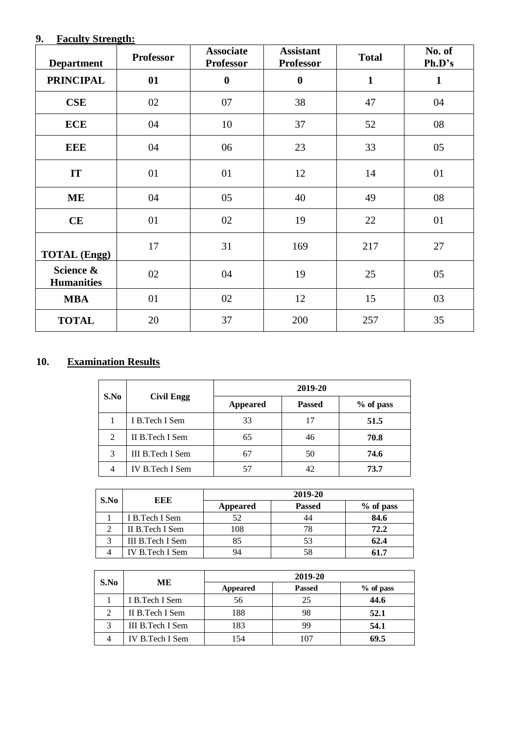# **9. Faculty Strength:**

| <b>Department</b>              | <b>Professor</b> | <b>Associate</b><br><b>Professor</b> | <b>Assistant</b><br><b>Professor</b> | <b>Total</b> | No. of<br>Ph.D's |
|--------------------------------|------------------|--------------------------------------|--------------------------------------|--------------|------------------|
| <b>PRINCIPAL</b>               | 01               | $\boldsymbol{0}$                     | $\boldsymbol{0}$                     | $\mathbf{1}$ | $\mathbf{1}$     |
| <b>CSE</b>                     | 02               | 07                                   | 38                                   | 47           | 04               |
| <b>ECE</b>                     | 04               | 10                                   | 37                                   | 52           | 08               |
| <b>EEE</b>                     | 04               | 06                                   | 23                                   | 33           | 05               |
| IT                             | 01               | 01                                   | 12                                   | 14           | 01               |
| <b>ME</b>                      | 04               | 05                                   | 40                                   | 49           | 08               |
| CE                             | 01               | 02                                   | 19                                   | 22           | 01               |
| <b>TOTAL</b> (Engg)            | 17               | 31                                   | 169                                  | 217          | 27               |
| Science &<br><b>Humanities</b> | 02               | 04                                   | 19                                   | 25           | 05               |
| <b>MBA</b>                     | 01               | 02                                   | 12                                   | 15           | 03               |
| <b>TOTAL</b>                   | 20               | 37                                   | 200                                  | 257          | 35               |

# **10. Examination Results**

| S.No           | <b>Civil Engg</b> | 2019-20         |               |           |
|----------------|-------------------|-----------------|---------------|-----------|
|                |                   | <b>Appeared</b> | <b>Passed</b> | % of pass |
|                | I B.Tech I Sem    | 33              | 17            | 51.5      |
| $\overline{2}$ | II B.Tech I Sem   | 65              | 46            | 70.8      |
| 3              | III B.Tech I Sem  | 67              | 50            | 74.6      |
|                | IV B.Tech I Sem   |                 | 42            | 73.7      |

|      | EEE              | 2019-20         |               |           |
|------|------------------|-----------------|---------------|-----------|
| S.No |                  | <b>Appeared</b> | <b>Passed</b> | % of pass |
|      | I B.Tech I Sem   | 52              | 44            | 84.6      |
|      | II B. Tech I Sem | 108             | 78            | 72.2      |
|      | III B.Tech I Sem |                 | 53            | 62.4      |
|      | IV B.Tech I Sem  |                 | 58            | 61.7      |

|      | ME               | 2019-20  |               |           |
|------|------------------|----------|---------------|-----------|
| S.No |                  | Appeared | <b>Passed</b> | % of pass |
|      | I B. Tech I Sem  | 56       | 25            | 44.6      |
| 2    | II B. Tech I Sem | 188      | 98            | 52.1      |
|      | III B.Tech I Sem | 183      | 99            | 54.1      |
|      | IV B.Tech I Sem  | .54      | 107           | 69.5      |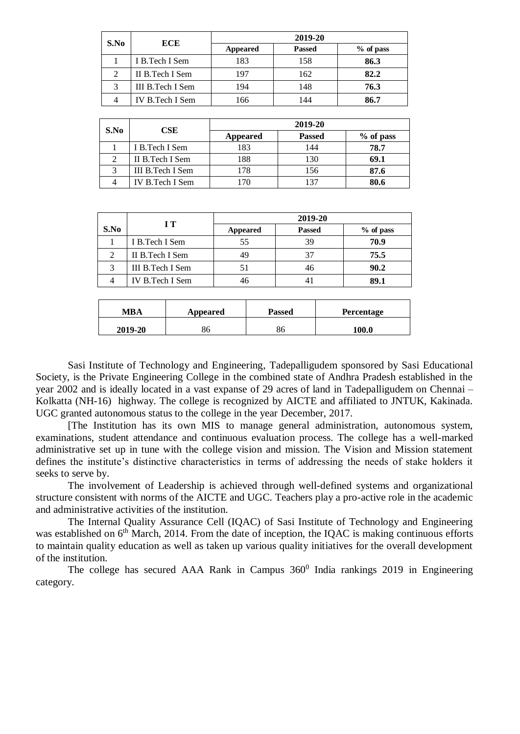| S.No | <b>ECE</b>       | 2019-20         |               |             |
|------|------------------|-----------------|---------------|-------------|
|      |                  | <b>Appeared</b> | <b>Passed</b> | $%$ of pass |
|      | I B. Tech I Sem  | 183             | 158           | 86.3        |
|      | II B. Tech I Sem | 197             | 162           | 82.2        |
|      | III B.Tech I Sem | 194             | 148           | 76.3        |
|      | IV B.Tech I Sem  | 166             | 144           | 86.7        |

|      | <b>CSE</b>        | 2019-20  |               |           |
|------|-------------------|----------|---------------|-----------|
| S.No |                   | Appeared | <b>Passed</b> | % of pass |
|      | I B.Tech I Sem    | 183      | 144           | 78.7      |
|      | II B.Tech I Sem   | 188      | 130           | 69.1      |
| 3    | III B. Tech I Sem | 178      | 156           | 87.6      |
|      | IV B.Tech I Sem   |          | 137           | 80.6      |

|      |                  |                 | 2019-20       |             |
|------|------------------|-----------------|---------------|-------------|
| S.No | IТ               | <b>Appeared</b> | <b>Passed</b> | $%$ of pass |
|      | I B.Tech I Sem   | 55              | 39            | 70.9        |
| 2    | II B. Tech I Sem | 49              | 37            | 75.5        |
| 3    | III B.Tech I Sem |                 | 46            | 90.2        |
|      | IV B.Tech I Sem  |                 | 4             | 89.1        |

| <b>MBA</b> | Appeared | <b>Passed</b> | Percentage |
|------------|----------|---------------|------------|
| 2019-20    | 86       | 86            | 100.0      |

Sasi Institute of Technology and Engineering, Tadepalligudem sponsored by Sasi Educational Society, is the Private Engineering College in the combined state of Andhra Pradesh established in the year 2002 and is ideally located in a vast expanse of 29 acres of land in Tadepalligudem on Chennai – Kolkatta (NH-16) highway. The college is recognized by AICTE and affiliated to JNTUK, Kakinada. UGC granted autonomous status to the college in the year December, 2017.

[The Institution has its own MIS to manage general administration, autonomous system, examinations, student attendance and continuous evaluation process. The college has a well-marked administrative set up in tune with the college vision and mission. The Vision and Mission statement defines the institute's distinctive characteristics in terms of addressing the needs of stake holders it seeks to serve by.

The involvement of Leadership is achieved through well-defined systems and organizational structure consistent with norms of the AICTE and UGC. Teachers play a pro-active role in the academic and administrative activities of the institution.

The Internal Quality Assurance Cell (IQAC) of Sasi Institute of Technology and Engineering was established on  $6<sup>th</sup>$  March, 2014. From the date of inception, the IQAC is making continuous efforts to maintain quality education as well as taken up various quality initiatives for the overall development of the institution.

The college has secured AAA Rank in Campus  $360^0$  India rankings 2019 in Engineering category.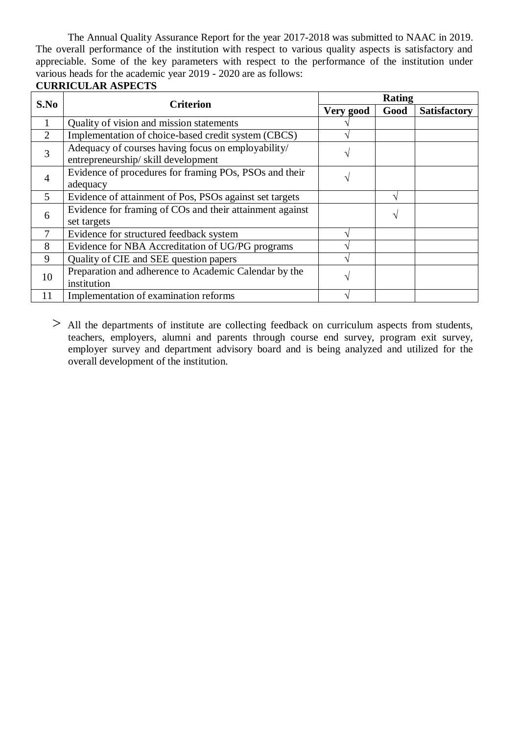The Annual Quality Assurance Report for the year 2017-2018 was submitted to NAAC in 2019. The overall performance of the institution with respect to various quality aspects is satisfactory and appreciable. Some of the key parameters with respect to the performance of the institution under various heads for the academic year 2019 - 2020 are as follows:

#### **CURRICULAR ASPECTS**

| S.No           | <b>Criterion</b>                                                                         |           | <b>Rating</b> |                     |
|----------------|------------------------------------------------------------------------------------------|-----------|---------------|---------------------|
|                |                                                                                          | Very good | Good          | <b>Satisfactory</b> |
| 1              | Quality of vision and mission statements                                                 |           |               |                     |
| 2              | Implementation of choice-based credit system (CBCS)                                      |           |               |                     |
| 3              | Adequacy of courses having focus on employability/<br>entrepreneurship/skill development | ٦         |               |                     |
| $\overline{4}$ | Evidence of procedures for framing POs, PSOs and their<br>adequacy                       | ٦         |               |                     |
| 5              | Evidence of attainment of Pos, PSOs against set targets                                  |           |               |                     |
| 6              | Evidence for framing of COs and their attainment against<br>set targets                  |           | $\mathcal{L}$ |                     |
| 7              | Evidence for structured feedback system                                                  |           |               |                     |
| 8              | Evidence for NBA Accreditation of UG/PG programs                                         | ́         |               |                     |
| 9              | Quality of CIE and SEE question papers                                                   |           |               |                     |
| 10             | Preparation and adherence to Academic Calendar by the<br>institution                     | ٦         |               |                     |
| 11             | Implementation of examination reforms                                                    |           |               |                     |

> All the departments of institute are collecting feedback on curriculum aspects from students, teachers, employers, alumni and parents through course end survey, program exit survey, employer survey and department advisory board and is being analyzed and utilized for the overall development of the institution.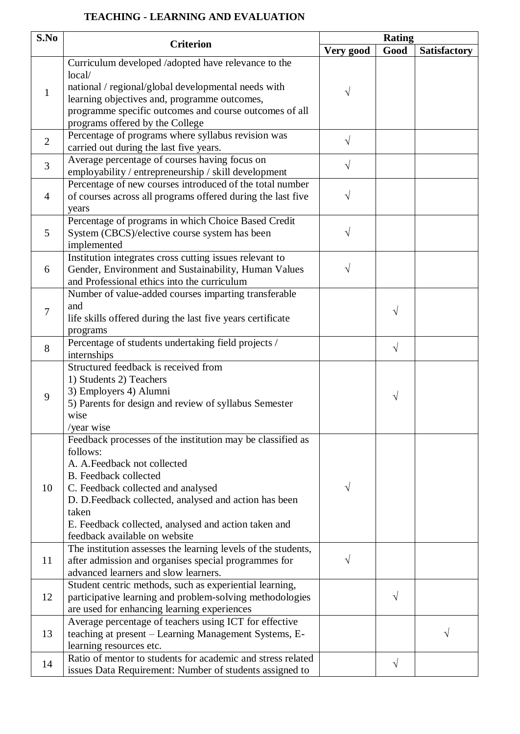# **TEACHING - LEARNING AND EVALUATION**

| S.No                           |                                                               |            | <b>Rating</b> |                     |
|--------------------------------|---------------------------------------------------------------|------------|---------------|---------------------|
|                                | <b>Criterion</b>                                              | Very good  | Good          | <b>Satisfactory</b> |
|                                | Curriculum developed /adopted have relevance to the           |            |               |                     |
| $\mathbf{1}$<br>$\overline{2}$ | local/                                                        |            |               |                     |
|                                | national / regional/global developmental needs with           |            |               |                     |
|                                | learning objectives and, programme outcomes,                  | V          |               |                     |
|                                | programme specific outcomes and course outcomes of all        |            |               |                     |
|                                | programs offered by the College                               |            |               |                     |
|                                | Percentage of programs where syllabus revision was            | $\sqrt{ }$ |               |                     |
|                                | carried out during the last five years.                       |            |               |                     |
|                                | Average percentage of courses having focus on                 |            |               |                     |
| 3                              | employability / entrepreneurship / skill development          | $\sqrt{}$  |               |                     |
|                                | Percentage of new courses introduced of the total number      |            |               |                     |
| $\overline{4}$                 | of courses across all programs offered during the last five   | V          |               |                     |
|                                | years                                                         |            |               |                     |
|                                | Percentage of programs in which Choice Based Credit           |            |               |                     |
| 5                              | System (CBCS)/elective course system has been                 | V          |               |                     |
|                                | implemented                                                   |            |               |                     |
|                                | Institution integrates cross cutting issues relevant to       |            |               |                     |
| 6                              | Gender, Environment and Sustainability, Human Values          | $\sqrt{}$  |               |                     |
|                                | and Professional ethics into the curriculum                   |            |               |                     |
| 7                              | Number of value-added courses imparting transferable          |            |               |                     |
|                                | and                                                           |            |               |                     |
|                                | life skills offered during the last five years certificate    |            | $\sqrt{ }$    |                     |
|                                | programs                                                      |            |               |                     |
| 8                              | Percentage of students undertaking field projects /           |            |               |                     |
|                                | internships                                                   |            | $\sqrt{ }$    |                     |
|                                | Structured feedback is received from                          |            |               |                     |
|                                | 1) Students 2) Teachers                                       |            |               |                     |
|                                | 3) Employers 4) Alumni                                        |            |               |                     |
| 9                              | 5) Parents for design and review of syllabus Semester         |            | $\sqrt{ }$    |                     |
|                                | wise                                                          |            |               |                     |
|                                | /year wise                                                    |            |               |                     |
|                                | Feedback processes of the institution may be classified as    |            |               |                     |
|                                | follows:                                                      |            |               |                     |
|                                | A. A. Feedback not collected                                  |            |               |                     |
|                                | <b>B.</b> Feedback collected                                  |            |               |                     |
| 10                             | C. Feedback collected and analysed                            | $\sqrt{}$  |               |                     |
|                                | D. D.Feedback collected, analysed and action has been         |            |               |                     |
|                                | taken                                                         |            |               |                     |
|                                | E. Feedback collected, analysed and action taken and          |            |               |                     |
|                                | feedback available on website                                 |            |               |                     |
|                                | The institution assesses the learning levels of the students, |            |               |                     |
| 11                             | after admission and organises special programmes for          | V          |               |                     |
|                                | advanced learners and slow learners.                          |            |               |                     |
|                                | Student centric methods, such as experiential learning,       |            |               |                     |
| 12                             | participative learning and problem-solving methodologies      |            | V             |                     |
|                                | are used for enhancing learning experiences                   |            |               |                     |
|                                | Average percentage of teachers using ICT for effective        |            |               |                     |
| 13                             | teaching at present - Learning Management Systems, E-         |            |               | V                   |
|                                | learning resources etc.                                       |            |               |                     |
| 14                             | Ratio of mentor to students for academic and stress related   |            | $\sqrt{ }$    |                     |
|                                | issues Data Requirement: Number of students assigned to       |            |               |                     |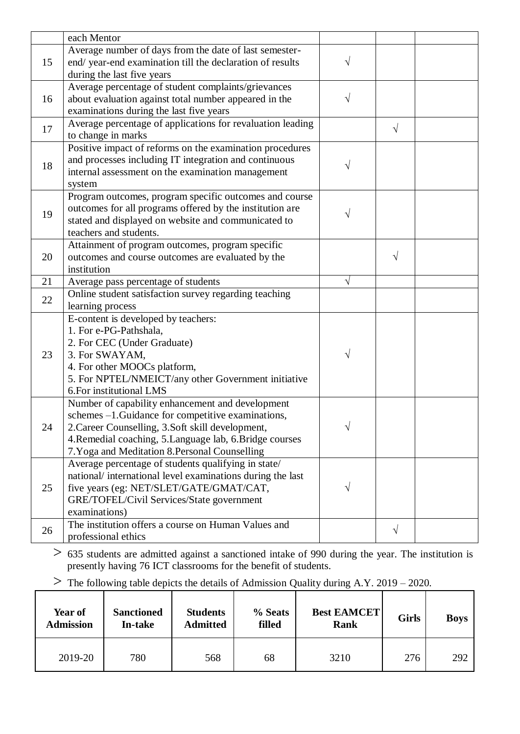|    | each Mentor                                                                          |           |            |  |
|----|--------------------------------------------------------------------------------------|-----------|------------|--|
|    | Average number of days from the date of last semester-                               |           |            |  |
| 15 | end/year-end examination till the declaration of results                             |           |            |  |
|    | during the last five years                                                           |           |            |  |
|    | Average percentage of student complaints/grievances                                  |           |            |  |
| 16 | about evaluation against total number appeared in the                                | $\sqrt{}$ |            |  |
|    | examinations during the last five years                                              |           |            |  |
|    | Average percentage of applications for revaluation leading                           |           |            |  |
| 17 | to change in marks                                                                   |           | $\sqrt{ }$ |  |
|    | Positive impact of reforms on the examination procedures                             |           |            |  |
| 18 | and processes including IT integration and continuous                                |           |            |  |
|    | internal assessment on the examination management                                    |           |            |  |
|    | system                                                                               |           |            |  |
|    | Program outcomes, program specific outcomes and course                               |           |            |  |
| 19 | outcomes for all programs offered by the institution are                             |           |            |  |
|    | stated and displayed on website and communicated to                                  |           |            |  |
|    | teachers and students.                                                               |           |            |  |
|    | Attainment of program outcomes, program specific                                     |           |            |  |
| 20 | outcomes and course outcomes are evaluated by the                                    |           | $\sqrt{ }$ |  |
|    | institution                                                                          |           |            |  |
| 21 | Average pass percentage of students                                                  | $\sqrt{}$ |            |  |
| 22 | Online student satisfaction survey regarding teaching                                |           |            |  |
|    | learning process                                                                     |           |            |  |
|    | E-content is developed by teachers:                                                  |           |            |  |
|    | 1. For e-PG-Pathshala,                                                               |           |            |  |
|    | 2. For CEC (Under Graduate)                                                          |           |            |  |
| 23 | 3. For SWAYAM,                                                                       | V         |            |  |
|    | 4. For other MOOCs platform,                                                         |           |            |  |
|    | 5. For NPTEL/NMEICT/any other Government initiative                                  |           |            |  |
|    | 6. For institutional LMS                                                             |           |            |  |
|    | Number of capability enhancement and development                                     |           |            |  |
|    | schemes -1. Guidance for competitive examinations,                                   |           |            |  |
| 24 | 2. Career Counselling, 3. Soft skill development,                                    |           |            |  |
|    | 4. Remedial coaching, 5. Language lab, 6. Bridge courses                             |           |            |  |
|    | 7. Yoga and Meditation 8. Personal Counselling                                       |           |            |  |
| 25 | Average percentage of students qualifying in state/                                  |           |            |  |
|    | national/international level examinations during the last                            |           |            |  |
|    | five years (eg: NET/SLET/GATE/GMAT/CAT,<br>GRE/TOFEL/Civil Services/State government |           |            |  |
|    | examinations)                                                                        |           |            |  |
|    | The institution offers a course on Human Values and                                  |           |            |  |
| 26 | professional ethics                                                                  |           | $\sqrt{ }$ |  |
|    |                                                                                      |           |            |  |

- > <sup>635</sup> students are admitted against a sanctioned intake of 990 during the year. The institution is presently having 76 ICT classrooms for the benefit of students.
- $\geq$  The following table depicts the details of Admission Quality during A.Y. 2019 2020.

| Year of<br><b>Admission</b> | <b>Sanctioned</b><br>In-take | <b>Students</b><br><b>Admitted</b> | % Seats<br>filled | <b>Best EAMCET</b><br><b>Rank</b> | <b>Girls</b> | <b>Boys</b> |
|-----------------------------|------------------------------|------------------------------------|-------------------|-----------------------------------|--------------|-------------|
| 2019-20                     | 780                          | 3210<br>568<br>68                  |                   |                                   | 276          | 292         |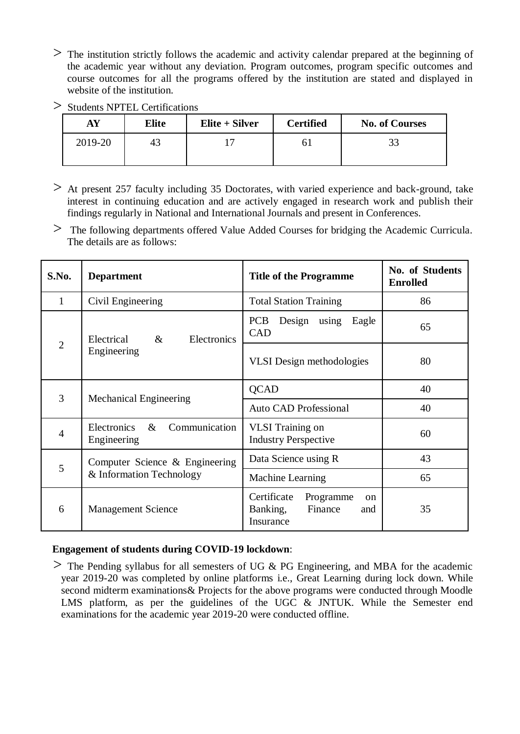$>$  The institution strictly follows the academic and activity calendar prepared at the beginning of the academic year without any deviation. Program outcomes, program specific outcomes and course outcomes for all the programs offered by the institution are stated and displayed in website of the institution.

| $>$ Students NPTEL Certifications |  |
|-----------------------------------|--|
|                                   |  |

| AY      | <b>Elite</b> | $E$ lite + Silver | <b>Certified</b> | <b>No. of Courses</b> |
|---------|--------------|-------------------|------------------|-----------------------|
| 2019-20 | 43           |                   |                  | JJ                    |

- > At present 257 faculty including 35 Doctorates, with varied experience and back-ground, take interest in continuing education and are actively engaged in research work and publish their findings regularly in National and International Journals and present in Conferences.
- > The following departments offered Value Added Courses for bridging the Academic Curricula. The details are as follows:

| S.No.          | <b>Department</b>                                             | <b>Title of the Programme</b>                                                   | No. of Students<br><b>Enrolled</b> |
|----------------|---------------------------------------------------------------|---------------------------------------------------------------------------------|------------------------------------|
| 1              | Civil Engineering                                             | <b>Total Station Training</b>                                                   | 86                                 |
|                | Electrical<br>$\&$<br>Electronics                             | <b>PCB</b><br>Design using<br>Eagle<br><b>CAD</b>                               | 65                                 |
| $\overline{2}$ | Engineering                                                   | <b>VLSI</b> Design methodologies                                                | 80                                 |
| 3              |                                                               | <b>QCAD</b>                                                                     | 40                                 |
|                | <b>Mechanical Engineering</b><br><b>Auto CAD Professional</b> |                                                                                 | 40                                 |
| $\overline{4}$ | Electronics<br>$\&$<br>Communication<br>Engineering           | <b>VLSI</b> Training on<br><b>Industry Perspective</b>                          | 60                                 |
| 5              | Computer Science & Engineering                                | Data Science using R                                                            | 43                                 |
|                | & Information Technology                                      | Machine Learning                                                                | 65                                 |
| 6              | <b>Management Science</b>                                     | Certificate<br>Programme<br>$\alpha$<br>Finance<br>Banking,<br>and<br>Insurance | 35                                 |

# **Engagement of students during COVID-19 lockdown**:

 $>$  The Pending syllabus for all semesters of UG & PG Engineering, and MBA for the academic year 2019-20 was completed by online platforms i.e., Great Learning during lock down. While second midterm examinations& Projects for the above programs were conducted through Moodle LMS platform, as per the guidelines of the UGC & JNTUK. While the Semester end examinations for the academic year 2019-20 were conducted offline.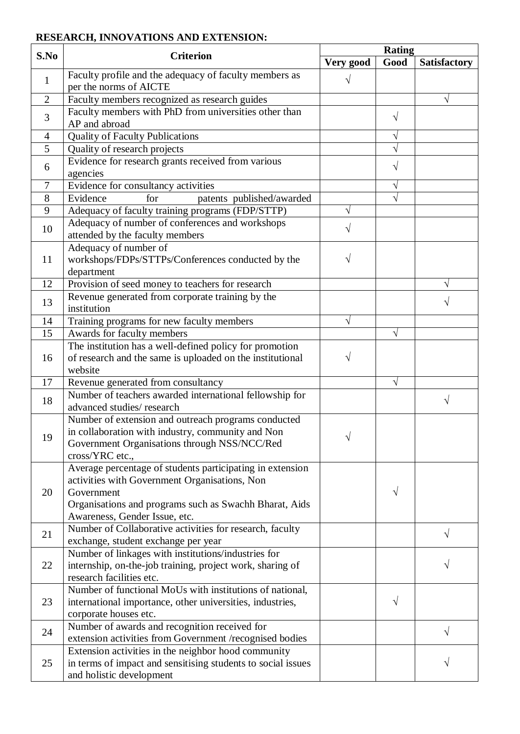# **RESEARCH, INNOVATIONS AND EXTENSION:**

| S.No           | <b>Criterion</b>                                                                                                                                                                                                    |           | <b>Rating</b> |                     |  |
|----------------|---------------------------------------------------------------------------------------------------------------------------------------------------------------------------------------------------------------------|-----------|---------------|---------------------|--|
|                |                                                                                                                                                                                                                     | Very good | Good          | <b>Satisfactory</b> |  |
| $\mathbf{1}$   | Faculty profile and the adequacy of faculty members as<br>per the norms of AICTE                                                                                                                                    |           |               |                     |  |
| $\overline{2}$ | Faculty members recognized as research guides                                                                                                                                                                       |           |               | V                   |  |
| 3              | Faculty members with PhD from universities other than<br>AP and abroad                                                                                                                                              |           | V             |                     |  |
| $\overline{4}$ | <b>Quality of Faculty Publications</b>                                                                                                                                                                              |           |               |                     |  |
| 5              | Quality of research projects                                                                                                                                                                                        |           |               |                     |  |
| 6              | Evidence for research grants received from various                                                                                                                                                                  |           | V             |                     |  |
|                | agencies                                                                                                                                                                                                            |           |               |                     |  |
| 7              | Evidence for consultancy activities                                                                                                                                                                                 |           |               |                     |  |
| 8              | for<br>Evidence<br>patents published/awarded                                                                                                                                                                        |           |               |                     |  |
| 9              | Adequacy of faculty training programs (FDP/STTP)                                                                                                                                                                    | V         |               |                     |  |
| 10             | Adequacy of number of conferences and workshops<br>attended by the faculty members                                                                                                                                  | V         |               |                     |  |
| 11             | Adequacy of number of<br>workshops/FDPs/STTPs/Conferences conducted by the<br>department                                                                                                                            |           |               |                     |  |
| 12             | Provision of seed money to teachers for research                                                                                                                                                                    |           |               | V                   |  |
| 13             | Revenue generated from corporate training by the<br>institution                                                                                                                                                     |           |               |                     |  |
| 14             | Training programs for new faculty members                                                                                                                                                                           | V         |               |                     |  |
| 15             | Awards for faculty members                                                                                                                                                                                          |           |               |                     |  |
|                | The institution has a well-defined policy for promotion                                                                                                                                                             |           |               |                     |  |
| 16             | of research and the same is uploaded on the institutional<br>website                                                                                                                                                | V         |               |                     |  |
| 17             | Revenue generated from consultancy                                                                                                                                                                                  |           | V             |                     |  |
| 18             | Number of teachers awarded international fellowship for<br>advanced studies/research                                                                                                                                |           |               | V                   |  |
| 19             | Number of extension and outreach programs conducted<br>in collaboration with industry, community and Non<br>Government Organisations through NSS/NCC/Red<br>cross/YRC etc.,                                         |           |               |                     |  |
| 20             | Average percentage of students participating in extension<br>activities with Government Organisations, Non<br>Government<br>Organisations and programs such as Swachh Bharat, Aids<br>Awareness, Gender Issue, etc. |           | V             |                     |  |
| 21             | Number of Collaborative activities for research, faculty<br>exchange, student exchange per year                                                                                                                     |           |               | V                   |  |
| 22             | Number of linkages with institutions/industries for<br>internship, on-the-job training, project work, sharing of<br>research facilities etc.                                                                        |           |               |                     |  |
| 23             | Number of functional MoUs with institutions of national,<br>international importance, other universities, industries,<br>corporate houses etc.                                                                      |           | V             |                     |  |
| 24             | Number of awards and recognition received for<br>extension activities from Government /recognised bodies                                                                                                            |           |               | V                   |  |
| 25             | Extension activities in the neighbor hood community<br>in terms of impact and sensitising students to social issues<br>and holistic development                                                                     |           |               |                     |  |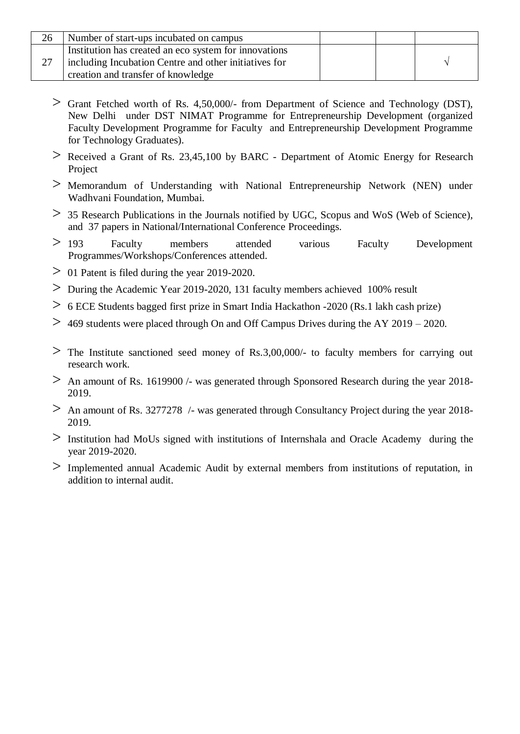| 26 | Number of start-ups incubated on campus                                                                                                              |  |  |
|----|------------------------------------------------------------------------------------------------------------------------------------------------------|--|--|
|    | Institution has created an eco system for innovations<br>including Incubation Centre and other initiatives for<br>creation and transfer of knowledge |  |  |

- > Grant Fetched worth of Rs. 4,50,000/- from Department of Science and Technology (DST), New Delhi under DST NIMAT Programme for Entrepreneurship Development (organized Faculty Development Programme for Faculty and Entrepreneurship Development Programme for Technology Graduates).
- $>$  Received a Grant of Rs. 23,45,100 by BARC Department of Atomic Energy for Research Project
- > Memorandum of Understanding with National Entrepreneurship Network (NEN) under Wadhvani Foundation, Mumbai.
- > 35 Research Publications in the Journals notified by UGC, Scopus and WoS (Web of Science), and 37 papers in National/International Conference Proceedings.
- > 193 Faculty members attended various Faculty Development Programmes/Workshops/Conferences attended.
- $> 01$  Patent is filed during the year 2019-2020.
- > During the Academic Year 2019-2020, 131 faculty members achieved 100% result
- > 6 ECE Students bagged first prize in Smart India Hackathon -2020 (Rs.1 lakh cash prize)
- $>$  469 students were placed through On and Off Campus Drives during the AY 2019 2020.
- $>$  The Institute sanctioned seed money of Rs.3,00,000/- to faculty members for carrying out research work.
- $>$  An amount of Rs. 1619900 /- was generated through Sponsored Research during the year 2018-2019.
- $>$  An amount of Rs. 3277278 /- was generated through Consultancy Project during the year 2018-2019.
- > Institution had MoUs signed with institutions of Internshala and Oracle Academy during the year 2019-2020.
- > Implemented annual Academic Audit by external members from institutions of reputation, in addition to internal audit.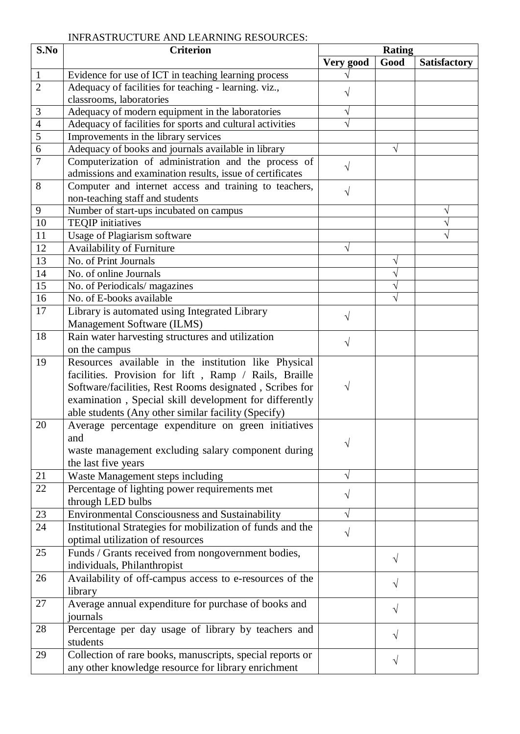# INFRASTRUCTURE AND LEARNING RESOURCES:

| S.No           | <b>Criterion</b>                                           | <b>Rating</b> |           |                     |
|----------------|------------------------------------------------------------|---------------|-----------|---------------------|
|                |                                                            | Very good     | Good      | <b>Satisfactory</b> |
| $\mathbf{1}$   | Evidence for use of ICT in teaching learning process       |               |           |                     |
| $\overline{2}$ | Adequacy of facilities for teaching - learning. viz.,      |               |           |                     |
|                | classrooms, laboratories                                   |               |           |                     |
| 3              | Adequacy of modern equipment in the laboratories           |               |           |                     |
| $\overline{4}$ | Adequacy of facilities for sports and cultural activities  |               |           |                     |
| $\overline{5}$ | Improvements in the library services                       |               |           |                     |
| 6              | Adequacy of books and journals available in library        |               | V         |                     |
| 7              | Computerization of administration and the process of       | V             |           |                     |
|                | admissions and examination results, issue of certificates  |               |           |                     |
| 8              | Computer and internet access and training to teachers,     | $\sqrt{ }$    |           |                     |
|                | non-teaching staff and students                            |               |           |                     |
| $\mathbf{9}$   | Number of start-ups incubated on campus                    |               |           | V                   |
| 10             | <b>TEQIP</b> initiatives                                   |               |           |                     |
| 11             | Usage of Plagiarism software                               |               |           |                     |
| 12             | Availability of Furniture                                  |               |           |                     |
| 13             | No. of Print Journals                                      |               | V         |                     |
| 14             | No. of online Journals                                     |               | V         |                     |
| 15             | No. of Periodicals/magazines                               |               | V         |                     |
| 16             | No. of E-books available                                   |               |           |                     |
| 17             | Library is automated using Integrated Library              |               |           |                     |
|                | Management Software (ILMS)                                 | $\sqrt{ }$    |           |                     |
| 18             | Rain water harvesting structures and utilization           |               |           |                     |
|                | on the campus                                              | $\sqrt{}$     |           |                     |
| 19             | Resources available in the institution like Physical       |               |           |                     |
|                | facilities. Provision for lift, Ramp / Rails, Braille      |               |           |                     |
|                | Software/facilities, Rest Rooms designated, Scribes for    | V             |           |                     |
|                | examination, Special skill development for differently     |               |           |                     |
|                | able students (Any other similar facility (Specify)        |               |           |                     |
| 20             | Average percentage expenditure on green initiatives        |               |           |                     |
|                | and                                                        |               |           |                     |
|                | waste management excluding salary component during         | V             |           |                     |
|                | the last five years                                        |               |           |                     |
| 21             | Waste Management steps including                           | V             |           |                     |
| 22             | Percentage of lighting power requirements met              |               |           |                     |
|                | through LED bulbs                                          | $\sqrt{}$     |           |                     |
| 23             | <b>Environmental Consciousness and Sustainability</b>      | V             |           |                     |
| 24             | Institutional Strategies for mobilization of funds and the |               |           |                     |
|                | optimal utilization of resources                           | V             |           |                     |
| 25             | Funds / Grants received from nongovernment bodies,         |               |           |                     |
|                | individuals, Philanthropist                                |               | $\sqrt{}$ |                     |
| 26             | Availability of off-campus access to e-resources of the    |               |           |                     |
|                | library                                                    |               | $\sqrt{}$ |                     |
| 27             | Average annual expenditure for purchase of books and       |               |           |                     |
|                | journals                                                   |               | $\sqrt{}$ |                     |
| 28             | Percentage per day usage of library by teachers and        |               | $\sqrt{}$ |                     |
|                | students                                                   |               |           |                     |
| 29             | Collection of rare books, manuscripts, special reports or  |               |           |                     |
|                | any other knowledge resource for library enrichment        |               | $\sqrt{}$ |                     |
|                |                                                            |               |           |                     |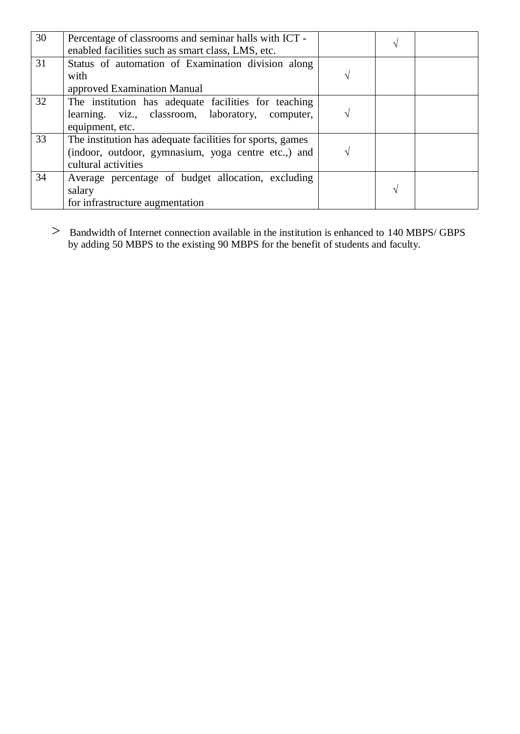| 30 | Percentage of classrooms and seminar halls with ICT -<br>enabled facilities such as smart class, LMS, etc.                              |     | اد |  |
|----|-----------------------------------------------------------------------------------------------------------------------------------------|-----|----|--|
| 31 | Status of automation of Examination division along<br>with<br>approved Examination Manual                                               | الہ |    |  |
| 32 | The institution has adequate facilities for teaching<br>learning. viz., classroom, laboratory, computer,<br>equipment, etc.             | ٦   |    |  |
| 33 | The institution has adequate facilities for sports, games<br>(indoor, outdoor, gymnasium, yoga centre etc.,) and<br>cultural activities | ٦   |    |  |
| 34 | Average percentage of budget allocation, excluding<br>salary<br>for infrastructure augmentation                                         |     | اد |  |

> Bandwidth of Internet connection available in the institution is enhanced to 140 MBPS/ GBPS by adding 50 MBPS to the existing 90 MBPS for the benefit of students and faculty.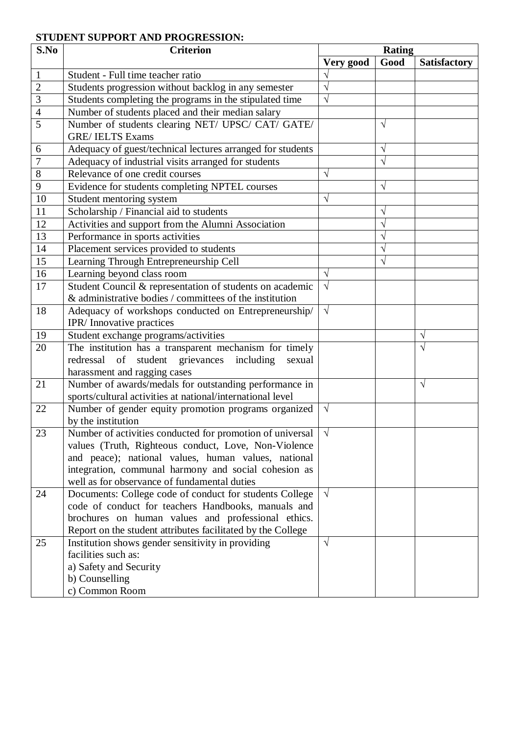# **STUDENT SUPPORT AND PROGRESSION:**

| S.No           | <b>Criterion</b>                                                                                                  | <b>Rating</b>         |           |                     |  |
|----------------|-------------------------------------------------------------------------------------------------------------------|-----------------------|-----------|---------------------|--|
|                |                                                                                                                   | Very good             | Good      | <b>Satisfactory</b> |  |
| 1              | Student - Full time teacher ratio                                                                                 |                       |           |                     |  |
| $\overline{2}$ | Students progression without backlog in any semester                                                              |                       |           |                     |  |
| 3              | Students completing the programs in the stipulated time                                                           |                       |           |                     |  |
| 4              | Number of students placed and their median salary                                                                 |                       |           |                     |  |
| 5              | Number of students clearing NET/ UPSC/ CAT/ GATE/                                                                 |                       | V         |                     |  |
|                | <b>GRE/IELTS Exams</b>                                                                                            |                       |           |                     |  |
| 6              | Adequacy of guest/technical lectures arranged for students                                                        |                       | V         |                     |  |
| $\overline{7}$ | Adequacy of industrial visits arranged for students                                                               |                       | $\sqrt{}$ |                     |  |
| $8\,$          | Relevance of one credit courses                                                                                   | V                     |           |                     |  |
| 9              | Evidence for students completing NPTEL courses                                                                    |                       | V         |                     |  |
| 10             | Student mentoring system                                                                                          |                       |           |                     |  |
| 11             | Scholarship / Financial aid to students                                                                           |                       | V         |                     |  |
| 12             | Activities and support from the Alumni Association                                                                |                       | $\sqrt{}$ |                     |  |
| 13             | Performance in sports activities                                                                                  |                       |           |                     |  |
| 14             | Placement services provided to students                                                                           |                       |           |                     |  |
| 15             | Learning Through Entrepreneurship Cell                                                                            |                       | $\sqrt{}$ |                     |  |
| 16             | Learning beyond class room                                                                                        | V                     |           |                     |  |
| 17             | Student Council & representation of students on academic                                                          | $\sqrt{ }$            |           |                     |  |
|                | & administrative bodies / committees of the institution                                                           |                       |           |                     |  |
| 18             | Adequacy of workshops conducted on Entrepreneurship/                                                              | $\sqrt{ }$            |           |                     |  |
|                | IPR/Innovative practices                                                                                          |                       |           |                     |  |
| 19             | Student exchange programs/activities                                                                              |                       |           | V                   |  |
| 20             | The institution has a transparent mechanism for timely                                                            |                       |           | V                   |  |
|                | redressal of student grievances including<br>sexual                                                               |                       |           |                     |  |
|                | harassment and ragging cases                                                                                      |                       |           |                     |  |
| 21             | Number of awards/medals for outstanding performance in                                                            |                       |           | $\sqrt{ }$          |  |
|                | sports/cultural activities at national/international level                                                        |                       |           |                     |  |
| 22             | Number of gender equity promotion programs organized                                                              | $\sqrt{}$             |           |                     |  |
|                | by the institution                                                                                                |                       |           |                     |  |
| 23             | Number of activities conducted for promotion of universal                                                         | $\overline{\sqrt{2}}$ |           |                     |  |
|                | values (Truth, Righteous conduct, Love, Non-Violence                                                              |                       |           |                     |  |
|                | and peace); national values, human values, national                                                               |                       |           |                     |  |
|                | integration, communal harmony and social cohesion as                                                              |                       |           |                     |  |
|                | well as for observance of fundamental duties                                                                      |                       |           |                     |  |
| 24             | Documents: College code of conduct for students College                                                           | $\sqrt{ }$            |           |                     |  |
|                | code of conduct for teachers Handbooks, manuals and                                                               |                       |           |                     |  |
|                | brochures on human values and professional ethics.<br>Report on the student attributes facilitated by the College |                       |           |                     |  |
| 25             |                                                                                                                   | $\sqrt{ }$            |           |                     |  |
|                | Institution shows gender sensitivity in providing<br>facilities such as:                                          |                       |           |                     |  |
|                | a) Safety and Security                                                                                            |                       |           |                     |  |
|                | b) Counselling                                                                                                    |                       |           |                     |  |
|                | c) Common Room                                                                                                    |                       |           |                     |  |
|                |                                                                                                                   |                       |           |                     |  |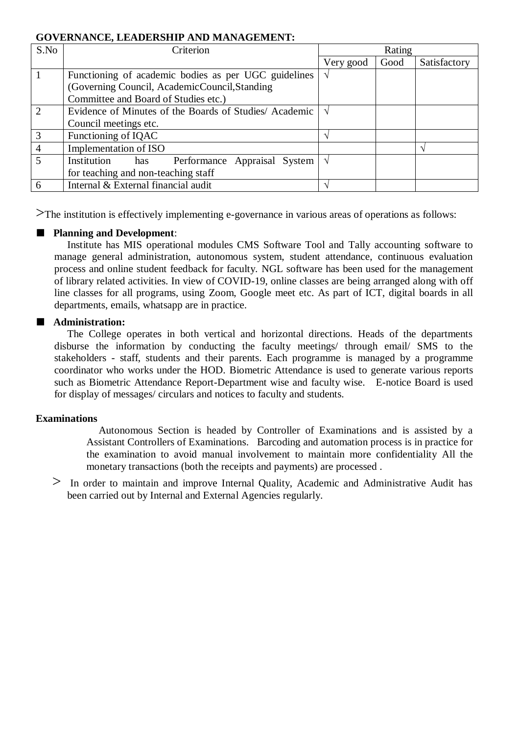#### **GOVERNANCE, LEADERSHIP AND MANAGEMENT:**

| S.No           | Criterion                                              | Rating    |      |              |  |
|----------------|--------------------------------------------------------|-----------|------|--------------|--|
|                |                                                        | Very good | Good | Satisfactory |  |
|                | Functioning of academic bodies as per UGC guidelines   |           |      |              |  |
|                | (Governing Council, AcademicCouncil, Standing          |           |      |              |  |
|                | Committee and Board of Studies etc.)                   |           |      |              |  |
| $\overline{2}$ | Evidence of Minutes of the Boards of Studies/ Academic |           |      |              |  |
|                | Council meetings etc.                                  |           |      |              |  |
| 3              | Functioning of IQAC                                    |           |      |              |  |
| $\overline{4}$ | Implementation of ISO                                  |           |      |              |  |
| 5              | Institution<br>Performance Appraisal System<br>has     |           |      |              |  |
|                | for teaching and non-teaching staff                    |           |      |              |  |
| 6              | Internal & External financial audit                    |           |      |              |  |

>The institution is effectively implementing e-governance in various areas of operations as follows:

# ■ **Planning and Development:**

Institute has MIS operational modules CMS Software Tool and Tally accounting software to manage general administration, autonomous system, student attendance, continuous evaluation process and online student feedback for faculty. NGL software has been used for the management of library related activities. In view of COVID-19, online classes are being arranged along with off line classes for all programs, using Zoom, Google meet etc. As part of ICT, digital boards in all departments, emails, whatsapp are in practice.

# ■ **Administration:**

The College operates in both vertical and horizontal directions. Heads of the departments disburse the information by conducting the faculty meetings/ through email/ SMS to the stakeholders - staff, students and their parents. Each programme is managed by a programme coordinator who works under the HOD. Biometric Attendance is used to generate various reports such as Biometric Attendance Report-Department wise and faculty wise. E-notice Board is used for display of messages/ circulars and notices to faculty and students.

#### **Examinations**

Autonomous Section is headed by Controller of Examinations and is assisted by a Assistant Controllers of Examinations. Barcoding and automation process is in practice for the examination to avoid manual involvement to maintain more confidentiality All the monetary transactions (both the receipts and payments) are processed .

> In order to maintain and improve Internal Quality, Academic and Administrative Audit has been carried out by Internal and External Agencies regularly.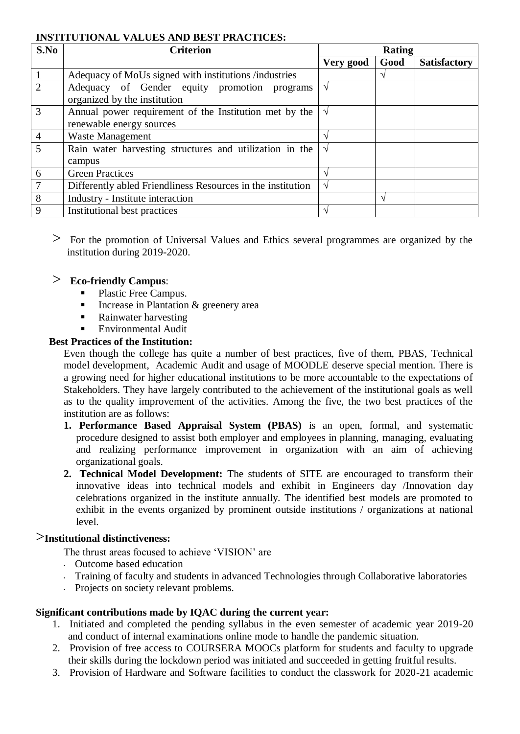#### **INSTITUTIONAL VALUES AND BEST PRACTICES:**

| S.No           | <b>Criterion</b>                                                                   | Rating        |                   |                     |
|----------------|------------------------------------------------------------------------------------|---------------|-------------------|---------------------|
|                |                                                                                    | Very good     | Good              | <b>Satisfactory</b> |
|                | Adequacy of MoUs signed with institutions /industries                              |               |                   |                     |
| $\overline{2}$ | Adequacy of Gender equity promotion programs<br>organized by the institution       | $\mathcal{N}$ |                   |                     |
| 3              | Annual power requirement of the Institution met by the<br>renewable energy sources | V             |                   |                     |
| $\overline{4}$ | <b>Waste Management</b>                                                            |               |                   |                     |
| 5              | Rain water harvesting structures and utilization in the<br>campus                  | $\mathcal{N}$ |                   |                     |
| 6              | <b>Green Practices</b>                                                             |               |                   |                     |
|                | Differently abled Friendliness Resources in the institution                        |               |                   |                     |
| 8              | Industry - Institute interaction                                                   |               | $\mathbf{\hat{}}$ |                     |
| 9              | Institutional best practices                                                       |               |                   |                     |

> For the promotion of Universal Values and Ethics several programmes are organized by the institution during 2019-2020.

# > **Eco-friendly Campus**:

- Plastic Free Campus.
- Increase in Plantation & greenery area
- Rainwater harvesting
- Environmental Audit

# **Best Practices of the Institution:**

Even though the college has quite a number of best practices, five of them, PBAS, Technical model development, Academic Audit and usage of MOODLE deserve special mention. There is a growing need for higher educational institutions to be more accountable to the expectations of Stakeholders. They have largely contributed to the achievement of the institutional goals as well as to the quality improvement of the activities. Among the five, the two best practices of the institution are as follows:

- **1. Performance Based Appraisal System (PBAS)** is an open, formal, and systematic procedure designed to assist both employer and employees in planning, managing, evaluating and realizing performance improvement in organization with an aim of achieving organizational goals.
- **2. Technical Model Development:** The students of SITE are encouraged to transform their innovative ideas into technical models and exhibit in Engineers day /Innovation day celebrations organized in the institute annually. The identified best models are promoted to exhibit in the events organized by prominent outside institutions / organizations at national level.

# >**Institutional distinctiveness:**

The thrust areas focused to achieve 'VISION' are

- Outcome based education
- Training of faculty and students in advanced Technologies through Collaborative laboratories
- Projects on society relevant problems.

# **Significant contributions made by IQAC during the current year:**

- 1. Initiated and completed the pending syllabus in the even semester of academic year 2019-20 and conduct of internal examinations online mode to handle the pandemic situation.
- 2. Provision of free access to COURSERA MOOCs platform for students and faculty to upgrade their skills during the lockdown period was initiated and succeeded in getting fruitful results.
- 3. Provision of Hardware and Software facilities to conduct the classwork for 2020-21 academic